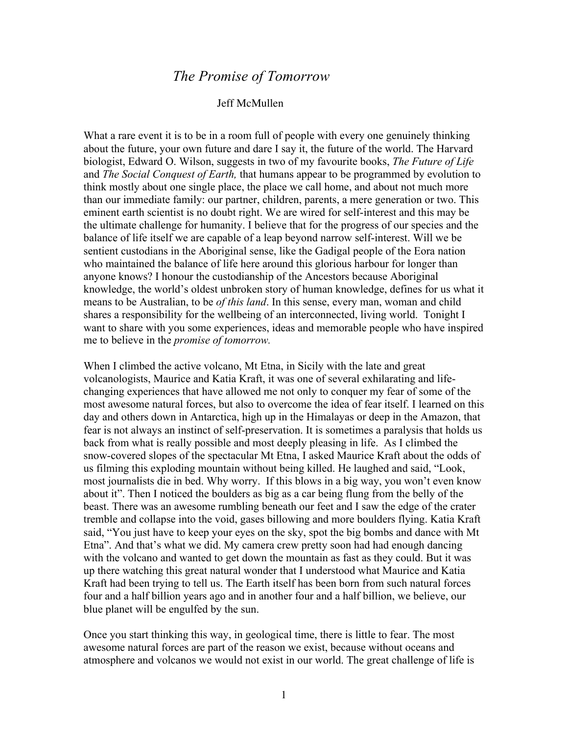## *The Promise of Tomorrow*

## Jeff McMullen

What a rare event it is to be in a room full of people with every one genuinely thinking about the future, your own future and dare I say it, the future of the world. The Harvard biologist, Edward O. Wilson, suggests in two of my favourite books, *The Future of Life*  and *The Social Conquest of Earth,* that humans appear to be programmed by evolution to think mostly about one single place, the place we call home, and about not much more than our immediate family: our partner, children, parents, a mere generation or two. This eminent earth scientist is no doubt right. We are wired for self-interest and this may be the ultimate challenge for humanity. I believe that for the progress of our species and the balance of life itself we are capable of a leap beyond narrow self-interest. Will we be sentient custodians in the Aboriginal sense, like the Gadigal people of the Eora nation who maintained the balance of life here around this glorious harbour for longer than anyone knows? I honour the custodianship of the Ancestors because Aboriginal knowledge, the world's oldest unbroken story of human knowledge, defines for us what it means to be Australian, to be *of this land*. In this sense, every man, woman and child shares a responsibility for the wellbeing of an interconnected, living world. Tonight I want to share with you some experiences, ideas and memorable people who have inspired me to believe in the *promise of tomorrow.* 

When I climbed the active volcano, Mt Etna, in Sicily with the late and great volcanologists, Maurice and Katia Kraft, it was one of several exhilarating and lifechanging experiences that have allowed me not only to conquer my fear of some of the most awesome natural forces, but also to overcome the idea of fear itself. I learned on this day and others down in Antarctica, high up in the Himalayas or deep in the Amazon, that fear is not always an instinct of self-preservation. It is sometimes a paralysis that holds us back from what is really possible and most deeply pleasing in life. As I climbed the snow-covered slopes of the spectacular Mt Etna, I asked Maurice Kraft about the odds of us filming this exploding mountain without being killed. He laughed and said, "Look, most journalists die in bed. Why worry. If this blows in a big way, you won't even know about it". Then I noticed the boulders as big as a car being flung from the belly of the beast. There was an awesome rumbling beneath our feet and I saw the edge of the crater tremble and collapse into the void, gases billowing and more boulders flying. Katia Kraft said, "You just have to keep your eyes on the sky, spot the big bombs and dance with Mt Etna". And that's what we did. My camera crew pretty soon had had enough dancing with the volcano and wanted to get down the mountain as fast as they could. But it was up there watching this great natural wonder that I understood what Maurice and Katia Kraft had been trying to tell us. The Earth itself has been born from such natural forces four and a half billion years ago and in another four and a half billion, we believe, our blue planet will be engulfed by the sun.

Once you start thinking this way, in geological time, there is little to fear. The most awesome natural forces are part of the reason we exist, because without oceans and atmosphere and volcanos we would not exist in our world. The great challenge of life is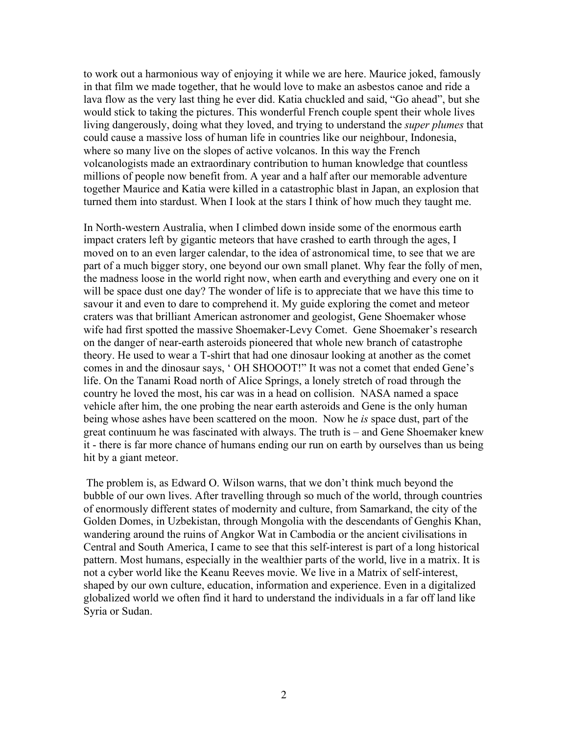to work out a harmonious way of enjoying it while we are here. Maurice joked, famously in that film we made together, that he would love to make an asbestos canoe and ride a lava flow as the very last thing he ever did. Katia chuckled and said, "Go ahead", but she would stick to taking the pictures. This wonderful French couple spent their whole lives living dangerously, doing what they loved, and trying to understand the *super plumes* that could cause a massive loss of human life in countries like our neighbour, Indonesia, where so many live on the slopes of active volcanos. In this way the French volcanologists made an extraordinary contribution to human knowledge that countless millions of people now benefit from. A year and a half after our memorable adventure together Maurice and Katia were killed in a catastrophic blast in Japan, an explosion that turned them into stardust. When I look at the stars I think of how much they taught me.

In North-western Australia, when I climbed down inside some of the enormous earth impact craters left by gigantic meteors that have crashed to earth through the ages, I moved on to an even larger calendar, to the idea of astronomical time, to see that we are part of a much bigger story, one beyond our own small planet. Why fear the folly of men, the madness loose in the world right now, when earth and everything and every one on it will be space dust one day? The wonder of life is to appreciate that we have this time to savour it and even to dare to comprehend it. My guide exploring the comet and meteor craters was that brilliant American astronomer and geologist, Gene Shoemaker whose wife had first spotted the massive Shoemaker-Levy Comet. Gene Shoemaker's research on the danger of near-earth asteroids pioneered that whole new branch of catastrophe theory. He used to wear a T-shirt that had one dinosaur looking at another as the comet comes in and the dinosaur says, ' OH SHOOOT!" It was not a comet that ended Gene's life. On the Tanami Road north of Alice Springs, a lonely stretch of road through the country he loved the most, his car was in a head on collision. NASA named a space vehicle after him, the one probing the near earth asteroids and Gene is the only human being whose ashes have been scattered on the moon. Now he *is* space dust, part of the great continuum he was fascinated with always. The truth is – and Gene Shoemaker knew it - there is far more chance of humans ending our run on earth by ourselves than us being hit by a giant meteor.

The problem is, as Edward O. Wilson warns, that we don't think much beyond the bubble of our own lives. After travelling through so much of the world, through countries of enormously different states of modernity and culture, from Samarkand, the city of the Golden Domes, in Uzbekistan, through Mongolia with the descendants of Genghis Khan, wandering around the ruins of Angkor Wat in Cambodia or the ancient civilisations in Central and South America, I came to see that this self-interest is part of a long historical pattern. Most humans, especially in the wealthier parts of the world, live in a matrix. It is not a cyber world like the Keanu Reeves movie. We live in a Matrix of self-interest, shaped by our own culture, education, information and experience. Even in a digitalized globalized world we often find it hard to understand the individuals in a far off land like Syria or Sudan.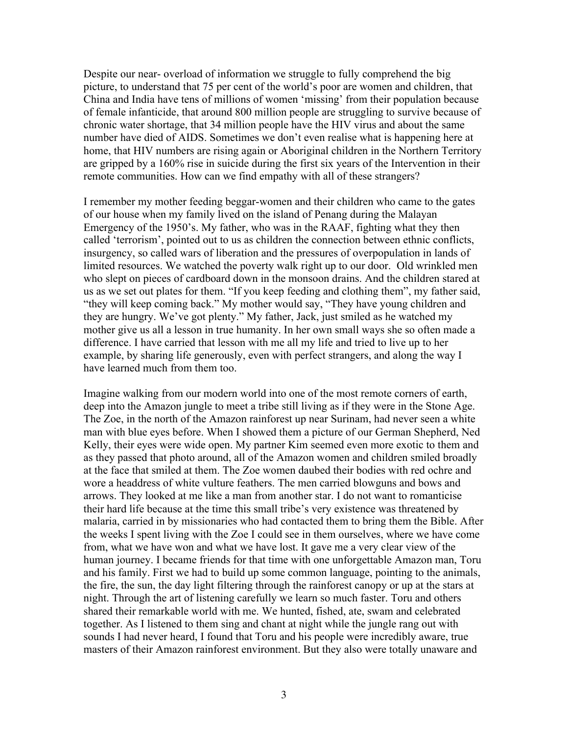Despite our near- overload of information we struggle to fully comprehend the big picture, to understand that 75 per cent of the world's poor are women and children, that China and India have tens of millions of women 'missing' from their population because of female infanticide, that around 800 million people are struggling to survive because of chronic water shortage, that 34 million people have the HIV virus and about the same number have died of AIDS. Sometimes we don't even realise what is happening here at home, that HIV numbers are rising again or Aboriginal children in the Northern Territory are gripped by a 160% rise in suicide during the first six years of the Intervention in their remote communities. How can we find empathy with all of these strangers?

I remember my mother feeding beggar-women and their children who came to the gates of our house when my family lived on the island of Penang during the Malayan Emergency of the 1950's. My father, who was in the RAAF, fighting what they then called 'terrorism', pointed out to us as children the connection between ethnic conflicts, insurgency, so called wars of liberation and the pressures of overpopulation in lands of limited resources. We watched the poverty walk right up to our door. Old wrinkled men who slept on pieces of cardboard down in the monsoon drains. And the children stared at us as we set out plates for them. "If you keep feeding and clothing them", my father said, "they will keep coming back." My mother would say, "They have young children and they are hungry. We've got plenty." My father, Jack, just smiled as he watched my mother give us all a lesson in true humanity. In her own small ways she so often made a difference. I have carried that lesson with me all my life and tried to live up to her example, by sharing life generously, even with perfect strangers, and along the way I have learned much from them too.

Imagine walking from our modern world into one of the most remote corners of earth, deep into the Amazon jungle to meet a tribe still living as if they were in the Stone Age. The Zoe, in the north of the Amazon rainforest up near Surinam, had never seen a white man with blue eyes before. When I showed them a picture of our German Shepherd, Ned Kelly, their eyes were wide open. My partner Kim seemed even more exotic to them and as they passed that photo around, all of the Amazon women and children smiled broadly at the face that smiled at them. The Zoe women daubed their bodies with red ochre and wore a headdress of white vulture feathers. The men carried blowguns and bows and arrows. They looked at me like a man from another star. I do not want to romanticise their hard life because at the time this small tribe's very existence was threatened by malaria, carried in by missionaries who had contacted them to bring them the Bible. After the weeks I spent living with the Zoe I could see in them ourselves, where we have come from, what we have won and what we have lost. It gave me a very clear view of the human journey. I became friends for that time with one unforgettable Amazon man, Toru and his family. First we had to build up some common language, pointing to the animals, the fire, the sun, the day light filtering through the rainforest canopy or up at the stars at night. Through the art of listening carefully we learn so much faster. Toru and others shared their remarkable world with me. We hunted, fished, ate, swam and celebrated together. As I listened to them sing and chant at night while the jungle rang out with sounds I had never heard, I found that Toru and his people were incredibly aware, true masters of their Amazon rainforest environment. But they also were totally unaware and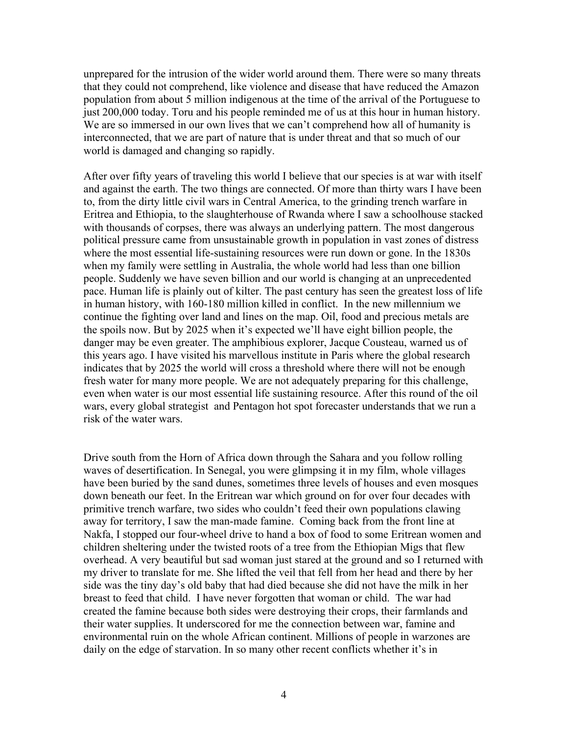unprepared for the intrusion of the wider world around them. There were so many threats that they could not comprehend, like violence and disease that have reduced the Amazon population from about 5 million indigenous at the time of the arrival of the Portuguese to just 200,000 today. Toru and his people reminded me of us at this hour in human history. We are so immersed in our own lives that we can't comprehend how all of humanity is interconnected, that we are part of nature that is under threat and that so much of our world is damaged and changing so rapidly.

After over fifty years of traveling this world I believe that our species is at war with itself and against the earth. The two things are connected. Of more than thirty wars I have been to, from the dirty little civil wars in Central America, to the grinding trench warfare in Eritrea and Ethiopia, to the slaughterhouse of Rwanda where I saw a schoolhouse stacked with thousands of corpses, there was always an underlying pattern. The most dangerous political pressure came from unsustainable growth in population in vast zones of distress where the most essential life-sustaining resources were run down or gone. In the 1830s when my family were settling in Australia, the whole world had less than one billion people. Suddenly we have seven billion and our world is changing at an unprecedented pace. Human life is plainly out of kilter. The past century has seen the greatest loss of life in human history, with 160-180 million killed in conflict. In the new millennium we continue the fighting over land and lines on the map. Oil, food and precious metals are the spoils now. But by 2025 when it's expected we'll have eight billion people, the danger may be even greater. The amphibious explorer, Jacque Cousteau, warned us of this years ago. I have visited his marvellous institute in Paris where the global research indicates that by 2025 the world will cross a threshold where there will not be enough fresh water for many more people. We are not adequately preparing for this challenge, even when water is our most essential life sustaining resource. After this round of the oil wars, every global strategist and Pentagon hot spot forecaster understands that we run a risk of the water wars.

Drive south from the Horn of Africa down through the Sahara and you follow rolling waves of desertification. In Senegal, you were glimpsing it in my film, whole villages have been buried by the sand dunes, sometimes three levels of houses and even mosques down beneath our feet. In the Eritrean war which ground on for over four decades with primitive trench warfare, two sides who couldn't feed their own populations clawing away for territory, I saw the man-made famine. Coming back from the front line at Nakfa, I stopped our four-wheel drive to hand a box of food to some Eritrean women and children sheltering under the twisted roots of a tree from the Ethiopian Migs that flew overhead. A very beautiful but sad woman just stared at the ground and so I returned with my driver to translate for me. She lifted the veil that fell from her head and there by her side was the tiny day's old baby that had died because she did not have the milk in her breast to feed that child. I have never forgotten that woman or child. The war had created the famine because both sides were destroying their crops, their farmlands and their water supplies. It underscored for me the connection between war, famine and environmental ruin on the whole African continent. Millions of people in warzones are daily on the edge of starvation. In so many other recent conflicts whether it's in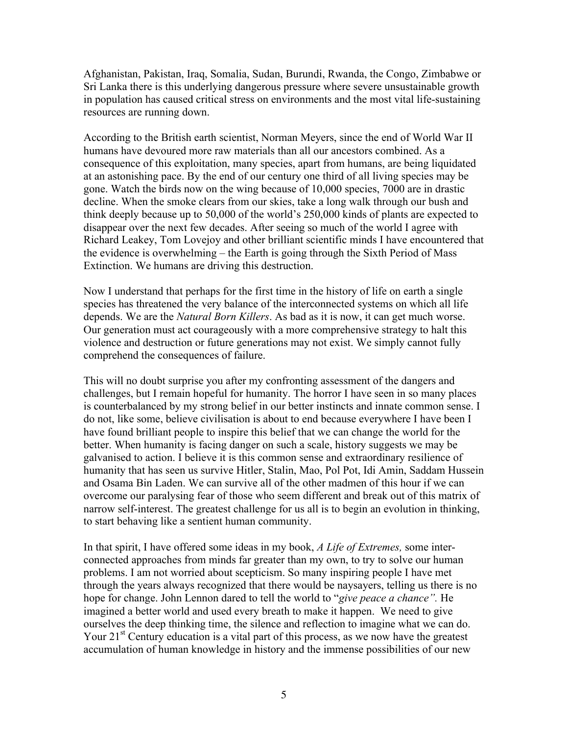Afghanistan, Pakistan, Iraq, Somalia, Sudan, Burundi, Rwanda, the Congo, Zimbabwe or Sri Lanka there is this underlying dangerous pressure where severe unsustainable growth in population has caused critical stress on environments and the most vital life-sustaining resources are running down.

According to the British earth scientist, Norman Meyers, since the end of World War II humans have devoured more raw materials than all our ancestors combined. As a consequence of this exploitation, many species, apart from humans, are being liquidated at an astonishing pace. By the end of our century one third of all living species may be gone. Watch the birds now on the wing because of 10,000 species, 7000 are in drastic decline. When the smoke clears from our skies, take a long walk through our bush and think deeply because up to 50,000 of the world's 250,000 kinds of plants are expected to disappear over the next few decades. After seeing so much of the world I agree with Richard Leakey, Tom Lovejoy and other brilliant scientific minds I have encountered that the evidence is overwhelming – the Earth is going through the Sixth Period of Mass Extinction. We humans are driving this destruction.

Now I understand that perhaps for the first time in the history of life on earth a single species has threatened the very balance of the interconnected systems on which all life depends. We are the *Natural Born Killers*. As bad as it is now, it can get much worse. Our generation must act courageously with a more comprehensive strategy to halt this violence and destruction or future generations may not exist. We simply cannot fully comprehend the consequences of failure.

This will no doubt surprise you after my confronting assessment of the dangers and challenges, but I remain hopeful for humanity. The horror I have seen in so many places is counterbalanced by my strong belief in our better instincts and innate common sense. I do not, like some, believe civilisation is about to end because everywhere I have been I have found brilliant people to inspire this belief that we can change the world for the better. When humanity is facing danger on such a scale, history suggests we may be galvanised to action. I believe it is this common sense and extraordinary resilience of humanity that has seen us survive Hitler, Stalin, Mao, Pol Pot, Idi Amin, Saddam Hussein and Osama Bin Laden. We can survive all of the other madmen of this hour if we can overcome our paralysing fear of those who seem different and break out of this matrix of narrow self-interest. The greatest challenge for us all is to begin an evolution in thinking, to start behaving like a sentient human community.

In that spirit, I have offered some ideas in my book, *A Life of Extremes,* some interconnected approaches from minds far greater than my own, to try to solve our human problems. I am not worried about scepticism. So many inspiring people I have met through the years always recognized that there would be naysayers, telling us there is no hope for change. John Lennon dared to tell the world to "*give peace a chance".* He imagined a better world and used every breath to make it happen. We need to give ourselves the deep thinking time, the silence and reflection to imagine what we can do. Your  $21<sup>st</sup>$  Century education is a vital part of this process, as we now have the greatest accumulation of human knowledge in history and the immense possibilities of our new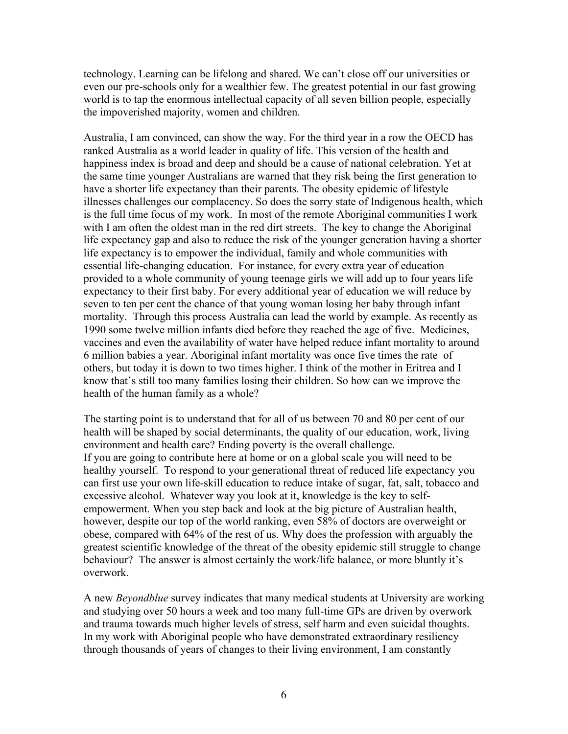technology. Learning can be lifelong and shared. We can't close off our universities or even our pre-schools only for a wealthier few. The greatest potential in our fast growing world is to tap the enormous intellectual capacity of all seven billion people, especially the impoverished majority, women and children.

Australia, I am convinced, can show the way. For the third year in a row the OECD has ranked Australia as a world leader in quality of life. This version of the health and happiness index is broad and deep and should be a cause of national celebration. Yet at the same time younger Australians are warned that they risk being the first generation to have a shorter life expectancy than their parents. The obesity epidemic of lifestyle illnesses challenges our complacency. So does the sorry state of Indigenous health, which is the full time focus of my work. In most of the remote Aboriginal communities I work with I am often the oldest man in the red dirt streets. The key to change the Aboriginal life expectancy gap and also to reduce the risk of the younger generation having a shorter life expectancy is to empower the individual, family and whole communities with essential life-changing education. For instance, for every extra year of education provided to a whole community of young teenage girls we will add up to four years life expectancy to their first baby. For every additional year of education we will reduce by seven to ten per cent the chance of that young woman losing her baby through infant mortality. Through this process Australia can lead the world by example. As recently as 1990 some twelve million infants died before they reached the age of five. Medicines, vaccines and even the availability of water have helped reduce infant mortality to around 6 million babies a year. Aboriginal infant mortality was once five times the rate of others, but today it is down to two times higher. I think of the mother in Eritrea and I know that's still too many families losing their children. So how can we improve the health of the human family as a whole?

The starting point is to understand that for all of us between 70 and 80 per cent of our health will be shaped by social determinants, the quality of our education, work, living environment and health care? Ending poverty is the overall challenge. If you are going to contribute here at home or on a global scale you will need to be healthy yourself. To respond to your generational threat of reduced life expectancy you can first use your own life-skill education to reduce intake of sugar, fat, salt, tobacco and excessive alcohol. Whatever way you look at it, knowledge is the key to selfempowerment. When you step back and look at the big picture of Australian health, however, despite our top of the world ranking, even 58% of doctors are overweight or obese, compared with 64% of the rest of us. Why does the profession with arguably the greatest scientific knowledge of the threat of the obesity epidemic still struggle to change behaviour? The answer is almost certainly the work/life balance, or more bluntly it's overwork.

A new *Beyondblue* survey indicates that many medical students at University are working and studying over 50 hours a week and too many full-time GPs are driven by overwork and trauma towards much higher levels of stress, self harm and even suicidal thoughts. In my work with Aboriginal people who have demonstrated extraordinary resiliency through thousands of years of changes to their living environment, I am constantly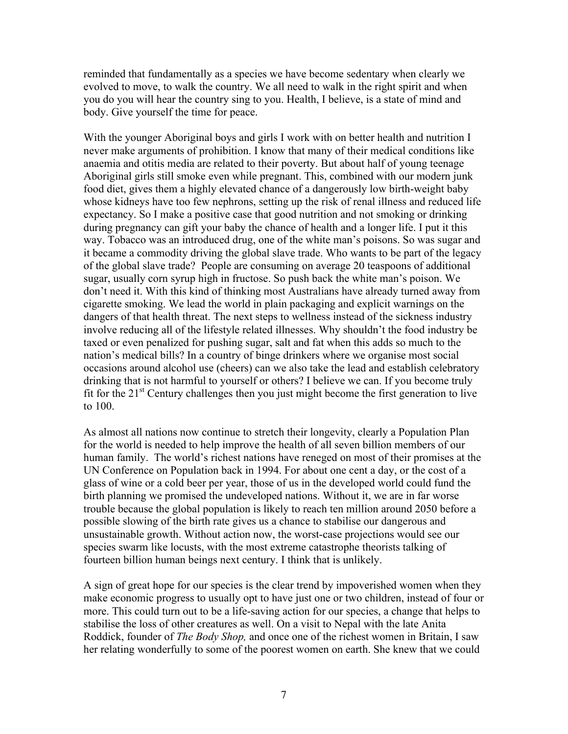reminded that fundamentally as a species we have become sedentary when clearly we evolved to move, to walk the country. We all need to walk in the right spirit and when you do you will hear the country sing to you. Health, I believe, is a state of mind and body. Give yourself the time for peace.

With the younger Aboriginal boys and girls I work with on better health and nutrition I never make arguments of prohibition. I know that many of their medical conditions like anaemia and otitis media are related to their poverty. But about half of young teenage Aboriginal girls still smoke even while pregnant. This, combined with our modern junk food diet, gives them a highly elevated chance of a dangerously low birth-weight baby whose kidneys have too few nephrons, setting up the risk of renal illness and reduced life expectancy. So I make a positive case that good nutrition and not smoking or drinking during pregnancy can gift your baby the chance of health and a longer life. I put it this way. Tobacco was an introduced drug, one of the white man's poisons. So was sugar and it became a commodity driving the global slave trade. Who wants to be part of the legacy of the global slave trade? People are consuming on average 20 teaspoons of additional sugar, usually corn syrup high in fructose. So push back the white man's poison. We don't need it. With this kind of thinking most Australians have already turned away from cigarette smoking. We lead the world in plain packaging and explicit warnings on the dangers of that health threat. The next steps to wellness instead of the sickness industry involve reducing all of the lifestyle related illnesses. Why shouldn't the food industry be taxed or even penalized for pushing sugar, salt and fat when this adds so much to the nation's medical bills? In a country of binge drinkers where we organise most social occasions around alcohol use (cheers) can we also take the lead and establish celebratory drinking that is not harmful to yourself or others? I believe we can. If you become truly fit for the  $21<sup>st</sup>$  Century challenges then you just might become the first generation to live to 100.

As almost all nations now continue to stretch their longevity, clearly a Population Plan for the world is needed to help improve the health of all seven billion members of our human family. The world's richest nations have reneged on most of their promises at the UN Conference on Population back in 1994. For about one cent a day, or the cost of a glass of wine or a cold beer per year, those of us in the developed world could fund the birth planning we promised the undeveloped nations. Without it, we are in far worse trouble because the global population is likely to reach ten million around 2050 before a possible slowing of the birth rate gives us a chance to stabilise our dangerous and unsustainable growth. Without action now, the worst-case projections would see our species swarm like locusts, with the most extreme catastrophe theorists talking of fourteen billion human beings next century. I think that is unlikely.

A sign of great hope for our species is the clear trend by impoverished women when they make economic progress to usually opt to have just one or two children, instead of four or more. This could turn out to be a life-saving action for our species, a change that helps to stabilise the loss of other creatures as well. On a visit to Nepal with the late Anita Roddick, founder of *The Body Shop,* and once one of the richest women in Britain, I saw her relating wonderfully to some of the poorest women on earth. She knew that we could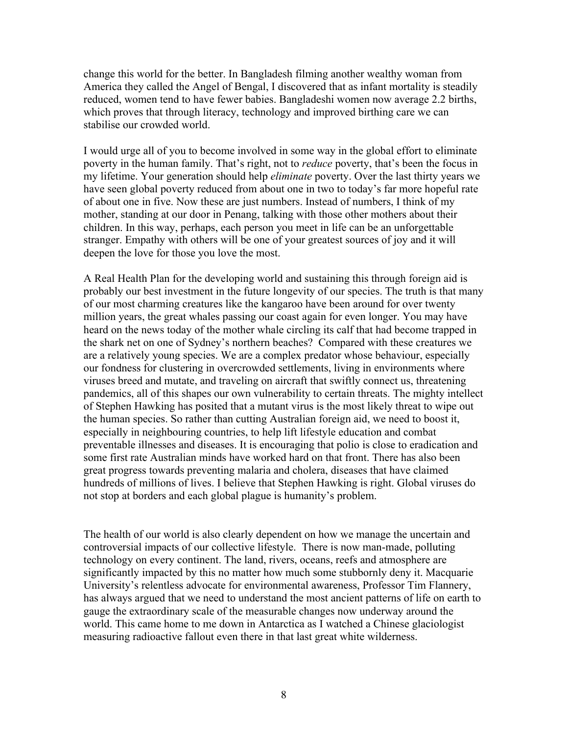change this world for the better. In Bangladesh filming another wealthy woman from America they called the Angel of Bengal, I discovered that as infant mortality is steadily reduced, women tend to have fewer babies. Bangladeshi women now average 2.2 births, which proves that through literacy, technology and improved birthing care we can stabilise our crowded world.

I would urge all of you to become involved in some way in the global effort to eliminate poverty in the human family. That's right, not to *reduce* poverty, that's been the focus in my lifetime. Your generation should help *eliminate* poverty. Over the last thirty years we have seen global poverty reduced from about one in two to today's far more hopeful rate of about one in five. Now these are just numbers. Instead of numbers, I think of my mother, standing at our door in Penang, talking with those other mothers about their children. In this way, perhaps, each person you meet in life can be an unforgettable stranger. Empathy with others will be one of your greatest sources of joy and it will deepen the love for those you love the most.

A Real Health Plan for the developing world and sustaining this through foreign aid is probably our best investment in the future longevity of our species. The truth is that many of our most charming creatures like the kangaroo have been around for over twenty million years, the great whales passing our coast again for even longer. You may have heard on the news today of the mother whale circling its calf that had become trapped in the shark net on one of Sydney's northern beaches? Compared with these creatures we are a relatively young species. We are a complex predator whose behaviour, especially our fondness for clustering in overcrowded settlements, living in environments where viruses breed and mutate, and traveling on aircraft that swiftly connect us, threatening pandemics, all of this shapes our own vulnerability to certain threats. The mighty intellect of Stephen Hawking has posited that a mutant virus is the most likely threat to wipe out the human species. So rather than cutting Australian foreign aid, we need to boost it, especially in neighbouring countries, to help lift lifestyle education and combat preventable illnesses and diseases. It is encouraging that polio is close to eradication and some first rate Australian minds have worked hard on that front. There has also been great progress towards preventing malaria and cholera, diseases that have claimed hundreds of millions of lives. I believe that Stephen Hawking is right. Global viruses do not stop at borders and each global plague is humanity's problem.

The health of our world is also clearly dependent on how we manage the uncertain and controversial impacts of our collective lifestyle. There is now man-made, polluting technology on every continent. The land, rivers, oceans, reefs and atmosphere are significantly impacted by this no matter how much some stubbornly deny it. Macquarie University's relentless advocate for environmental awareness, Professor Tim Flannery, has always argued that we need to understand the most ancient patterns of life on earth to gauge the extraordinary scale of the measurable changes now underway around the world. This came home to me down in Antarctica as I watched a Chinese glaciologist measuring radioactive fallout even there in that last great white wilderness.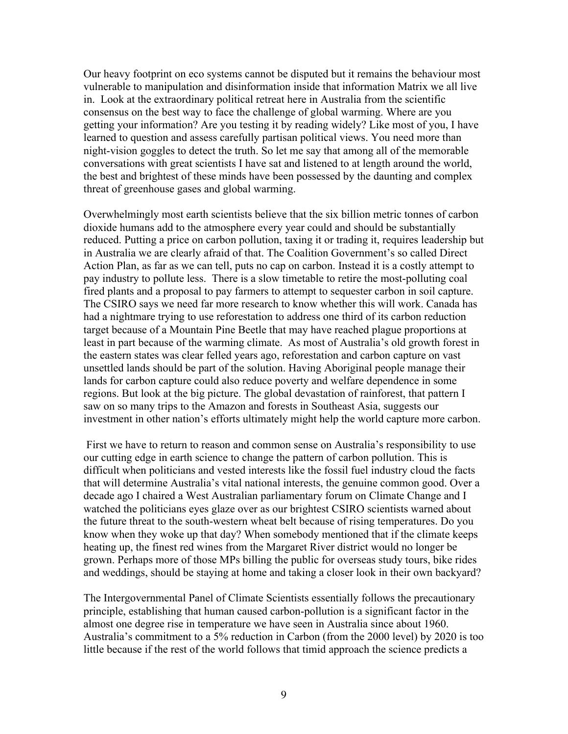Our heavy footprint on eco systems cannot be disputed but it remains the behaviour most vulnerable to manipulation and disinformation inside that information Matrix we all live in. Look at the extraordinary political retreat here in Australia from the scientific consensus on the best way to face the challenge of global warming. Where are you getting your information? Are you testing it by reading widely? Like most of you, I have learned to question and assess carefully partisan political views. You need more than night-vision goggles to detect the truth. So let me say that among all of the memorable conversations with great scientists I have sat and listened to at length around the world, the best and brightest of these minds have been possessed by the daunting and complex threat of greenhouse gases and global warming.

Overwhelmingly most earth scientists believe that the six billion metric tonnes of carbon dioxide humans add to the atmosphere every year could and should be substantially reduced. Putting a price on carbon pollution, taxing it or trading it, requires leadership but in Australia we are clearly afraid of that. The Coalition Government's so called Direct Action Plan, as far as we can tell, puts no cap on carbon. Instead it is a costly attempt to pay industry to pollute less. There is a slow timetable to retire the most-polluting coal fired plants and a proposal to pay farmers to attempt to sequester carbon in soil capture. The CSIRO says we need far more research to know whether this will work. Canada has had a nightmare trying to use reforestation to address one third of its carbon reduction target because of a Mountain Pine Beetle that may have reached plague proportions at least in part because of the warming climate. As most of Australia's old growth forest in the eastern states was clear felled years ago, reforestation and carbon capture on vast unsettled lands should be part of the solution. Having Aboriginal people manage their lands for carbon capture could also reduce poverty and welfare dependence in some regions. But look at the big picture. The global devastation of rainforest, that pattern I saw on so many trips to the Amazon and forests in Southeast Asia, suggests our investment in other nation's efforts ultimately might help the world capture more carbon.

First we have to return to reason and common sense on Australia's responsibility to use our cutting edge in earth science to change the pattern of carbon pollution. This is difficult when politicians and vested interests like the fossil fuel industry cloud the facts that will determine Australia's vital national interests, the genuine common good. Over a decade ago I chaired a West Australian parliamentary forum on Climate Change and I watched the politicians eyes glaze over as our brightest CSIRO scientists warned about the future threat to the south-western wheat belt because of rising temperatures. Do you know when they woke up that day? When somebody mentioned that if the climate keeps heating up, the finest red wines from the Margaret River district would no longer be grown. Perhaps more of those MPs billing the public for overseas study tours, bike rides and weddings, should be staying at home and taking a closer look in their own backyard?

The Intergovernmental Panel of Climate Scientists essentially follows the precautionary principle, establishing that human caused carbon-pollution is a significant factor in the almost one degree rise in temperature we have seen in Australia since about 1960. Australia's commitment to a 5% reduction in Carbon (from the 2000 level) by 2020 is too little because if the rest of the world follows that timid approach the science predicts a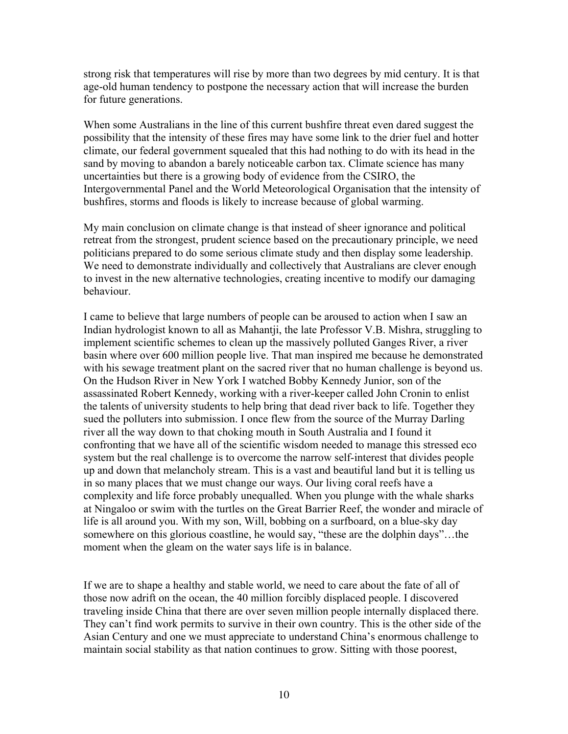strong risk that temperatures will rise by more than two degrees by mid century. It is that age-old human tendency to postpone the necessary action that will increase the burden for future generations.

When some Australians in the line of this current bushfire threat even dared suggest the possibility that the intensity of these fires may have some link to the drier fuel and hotter climate, our federal government squealed that this had nothing to do with its head in the sand by moving to abandon a barely noticeable carbon tax. Climate science has many uncertainties but there is a growing body of evidence from the CSIRO, the Intergovernmental Panel and the World Meteorological Organisation that the intensity of bushfires, storms and floods is likely to increase because of global warming.

My main conclusion on climate change is that instead of sheer ignorance and political retreat from the strongest, prudent science based on the precautionary principle, we need politicians prepared to do some serious climate study and then display some leadership. We need to demonstrate individually and collectively that Australians are clever enough to invest in the new alternative technologies, creating incentive to modify our damaging behaviour.

I came to believe that large numbers of people can be aroused to action when I saw an Indian hydrologist known to all as Mahantji, the late Professor V.B. Mishra, struggling to implement scientific schemes to clean up the massively polluted Ganges River, a river basin where over 600 million people live. That man inspired me because he demonstrated with his sewage treatment plant on the sacred river that no human challenge is beyond us. On the Hudson River in New York I watched Bobby Kennedy Junior, son of the assassinated Robert Kennedy, working with a river-keeper called John Cronin to enlist the talents of university students to help bring that dead river back to life. Together they sued the polluters into submission. I once flew from the source of the Murray Darling river all the way down to that choking mouth in South Australia and I found it confronting that we have all of the scientific wisdom needed to manage this stressed eco system but the real challenge is to overcome the narrow self-interest that divides people up and down that melancholy stream. This is a vast and beautiful land but it is telling us in so many places that we must change our ways. Our living coral reefs have a complexity and life force probably unequalled. When you plunge with the whale sharks at Ningaloo or swim with the turtles on the Great Barrier Reef, the wonder and miracle of life is all around you. With my son, Will, bobbing on a surfboard, on a blue-sky day somewhere on this glorious coastline, he would say, "these are the dolphin days"...the moment when the gleam on the water says life is in balance.

If we are to shape a healthy and stable world, we need to care about the fate of all of those now adrift on the ocean, the 40 million forcibly displaced people. I discovered traveling inside China that there are over seven million people internally displaced there. They can't find work permits to survive in their own country. This is the other side of the Asian Century and one we must appreciate to understand China's enormous challenge to maintain social stability as that nation continues to grow. Sitting with those poorest,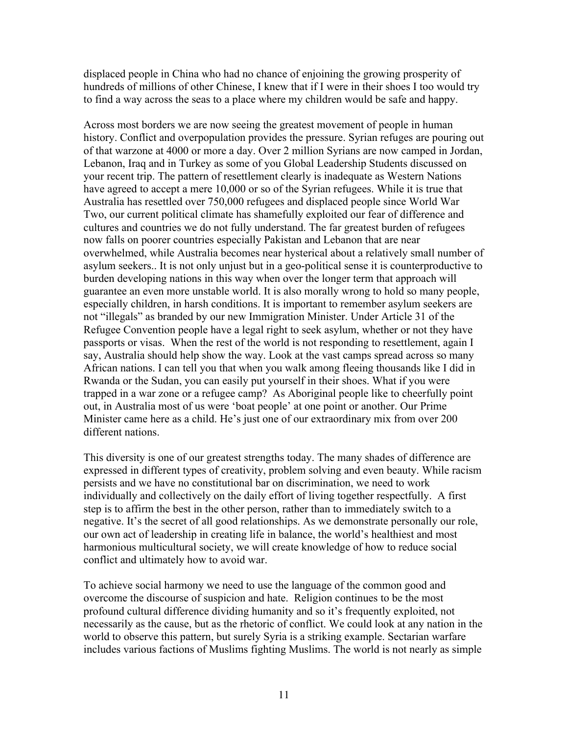displaced people in China who had no chance of enjoining the growing prosperity of hundreds of millions of other Chinese, I knew that if I were in their shoes I too would try to find a way across the seas to a place where my children would be safe and happy.

Across most borders we are now seeing the greatest movement of people in human history. Conflict and overpopulation provides the pressure. Syrian refuges are pouring out of that warzone at 4000 or more a day. Over 2 million Syrians are now camped in Jordan, Lebanon, Iraq and in Turkey as some of you Global Leadership Students discussed on your recent trip. The pattern of resettlement clearly is inadequate as Western Nations have agreed to accept a mere 10,000 or so of the Syrian refugees. While it is true that Australia has resettled over 750,000 refugees and displaced people since World War Two, our current political climate has shamefully exploited our fear of difference and cultures and countries we do not fully understand. The far greatest burden of refugees now falls on poorer countries especially Pakistan and Lebanon that are near overwhelmed, while Australia becomes near hysterical about a relatively small number of asylum seekers.. It is not only unjust but in a geo-political sense it is counterproductive to burden developing nations in this way when over the longer term that approach will guarantee an even more unstable world. It is also morally wrong to hold so many people, especially children, in harsh conditions. It is important to remember asylum seekers are not "illegals" as branded by our new Immigration Minister. Under Article 31 of the Refugee Convention people have a legal right to seek asylum, whether or not they have passports or visas. When the rest of the world is not responding to resettlement, again I say, Australia should help show the way. Look at the vast camps spread across so many African nations. I can tell you that when you walk among fleeing thousands like I did in Rwanda or the Sudan, you can easily put yourself in their shoes. What if you were trapped in a war zone or a refugee camp? As Aboriginal people like to cheerfully point out, in Australia most of us were 'boat people' at one point or another. Our Prime Minister came here as a child. He's just one of our extraordinary mix from over 200 different nations.

This diversity is one of our greatest strengths today. The many shades of difference are expressed in different types of creativity, problem solving and even beauty. While racism persists and we have no constitutional bar on discrimination, we need to work individually and collectively on the daily effort of living together respectfully. A first step is to affirm the best in the other person, rather than to immediately switch to a negative. It's the secret of all good relationships. As we demonstrate personally our role, our own act of leadership in creating life in balance, the world's healthiest and most harmonious multicultural society, we will create knowledge of how to reduce social conflict and ultimately how to avoid war.

To achieve social harmony we need to use the language of the common good and overcome the discourse of suspicion and hate. Religion continues to be the most profound cultural difference dividing humanity and so it's frequently exploited, not necessarily as the cause, but as the rhetoric of conflict. We could look at any nation in the world to observe this pattern, but surely Syria is a striking example. Sectarian warfare includes various factions of Muslims fighting Muslims. The world is not nearly as simple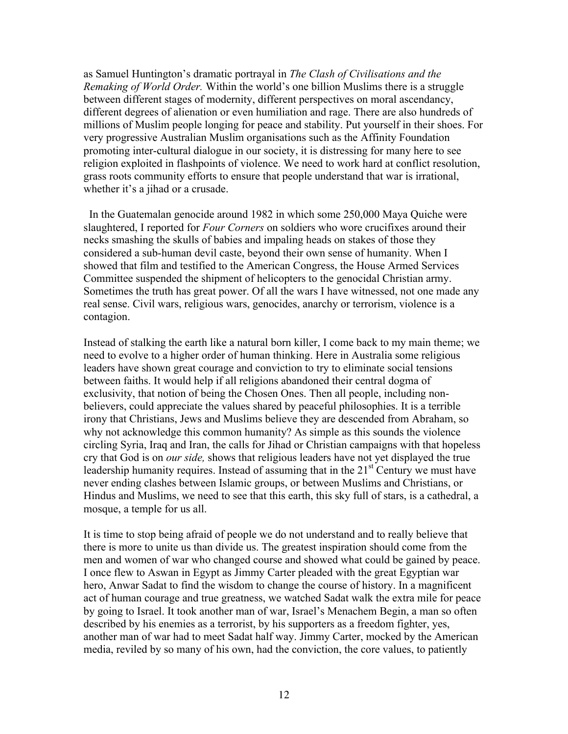as Samuel Huntington's dramatic portrayal in *The Clash of Civilisations and the Remaking of World Order.* Within the world's one billion Muslims there is a struggle between different stages of modernity, different perspectives on moral ascendancy, different degrees of alienation or even humiliation and rage. There are also hundreds of millions of Muslim people longing for peace and stability. Put yourself in their shoes. For very progressive Australian Muslim organisations such as the Affinity Foundation promoting inter-cultural dialogue in our society, it is distressing for many here to see religion exploited in flashpoints of violence. We need to work hard at conflict resolution, grass roots community efforts to ensure that people understand that war is irrational, whether it's a jihad or a crusade.

In the Guatemalan genocide around 1982 in which some 250,000 Maya Quiche were slaughtered, I reported for *Four Corners* on soldiers who wore crucifixes around their necks smashing the skulls of babies and impaling heads on stakes of those they considered a sub-human devil caste, beyond their own sense of humanity. When I showed that film and testified to the American Congress, the House Armed Services Committee suspended the shipment of helicopters to the genocidal Christian army. Sometimes the truth has great power. Of all the wars I have witnessed, not one made any real sense. Civil wars, religious wars, genocides, anarchy or terrorism, violence is a contagion.

Instead of stalking the earth like a natural born killer, I come back to my main theme; we need to evolve to a higher order of human thinking. Here in Australia some religious leaders have shown great courage and conviction to try to eliminate social tensions between faiths. It would help if all religions abandoned their central dogma of exclusivity, that notion of being the Chosen Ones. Then all people, including nonbelievers, could appreciate the values shared by peaceful philosophies. It is a terrible irony that Christians, Jews and Muslims believe they are descended from Abraham, so why not acknowledge this common humanity? As simple as this sounds the violence circling Syria, Iraq and Iran, the calls for Jihad or Christian campaigns with that hopeless cry that God is on *our side,* shows that religious leaders have not yet displayed the true leadership humanity requires. Instead of assuming that in the  $21<sup>st</sup>$  Century we must have never ending clashes between Islamic groups, or between Muslims and Christians, or Hindus and Muslims, we need to see that this earth, this sky full of stars, is a cathedral, a mosque, a temple for us all.

It is time to stop being afraid of people we do not understand and to really believe that there is more to unite us than divide us. The greatest inspiration should come from the men and women of war who changed course and showed what could be gained by peace. I once flew to Aswan in Egypt as Jimmy Carter pleaded with the great Egyptian war hero, Anwar Sadat to find the wisdom to change the course of history. In a magnificent act of human courage and true greatness, we watched Sadat walk the extra mile for peace by going to Israel. It took another man of war, Israel's Menachem Begin, a man so often described by his enemies as a terrorist, by his supporters as a freedom fighter, yes, another man of war had to meet Sadat half way. Jimmy Carter, mocked by the American media, reviled by so many of his own, had the conviction, the core values, to patiently